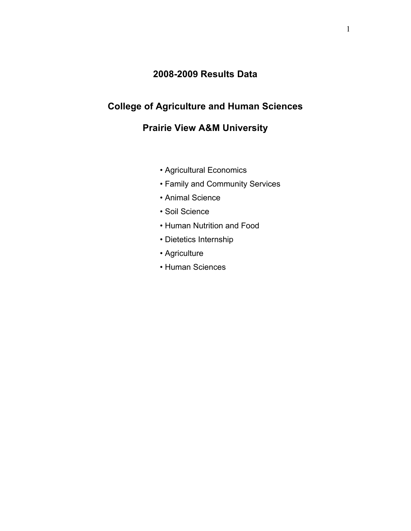# **2008-2009 Results Data**

# **College of Agriculture and Human Sciences**

# **Prairie View A&M University**

- Agricultural Economics
- Family and Community Services
- Animal Science
- Soil Science
- Human Nutrition and Food
- Dietetics Internship
- Agriculture
- Human Sciences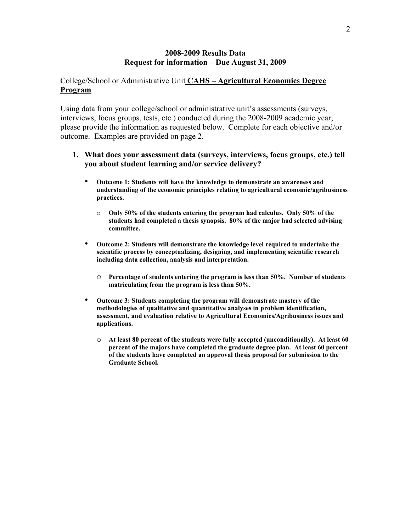### College/School or Administrative Unit **CAHS – Agricultural Economics Degree Program**

Using data from your college/school or administrative unit's assessments (surveys, interviews, focus groups, tests, etc.) conducted during the 2008-2009 academic year; please provide the information as requested below. Complete for each objective and/or outcome. Examples are provided on page 2.

- **Outcome 1: Students will have the knowledge to demonstrate an awareness and understanding of the economic principles relating to agricultural economic/agribusiness practices.**
	- o **Only 50% of the students entering the program had calculus. Only 50% of the students had completed a thesis synopsis. 80% of the major had selected advising committee.**
- **Outcome 2: Students will demonstrate the knowledge level required to undertake the scientific process by conceptualizing, designing, and implementing scientific research including data collection, analysis and interpretation.**
	- o **Percentage of students entering the program is less than 50%. Number of students matriculating from the program is less than 50%.**
- **Outcome 3: Students completing the program will demonstrate mastery of the methodologies of qualitative and quantitative analyses in problem identification, assessment, and evaluation relative to Agricultural Economics/Agribusiness issues and applications.**
	- o **At least 80 percent of the students were fully accepted (unconditionally). At least 60 percent of the majors have completed the graduate degree plan. At least 60 percent of the students have completed an approval thesis proposal for submission to the Graduate School.**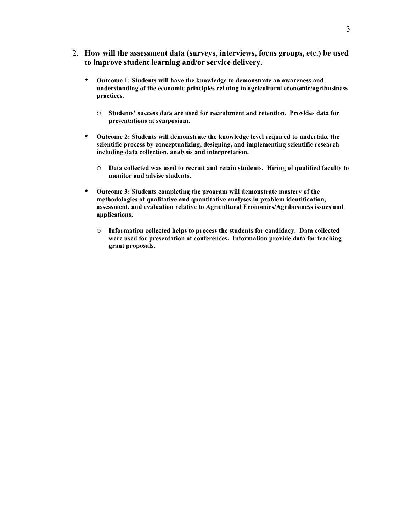- 2. **How will the assessment data (surveys, interviews, focus groups, etc.) be used to improve student learning and/or service delivery.**
	- **Outcome 1: Students will have the knowledge to demonstrate an awareness and understanding of the economic principles relating to agricultural economic/agribusiness practices.**
		- o **Students' success data are used for recruitment and retention. Provides data for presentations at symposium.**
	- **Outcome 2: Students will demonstrate the knowledge level required to undertake the scientific process by conceptualizing, designing, and implementing scientific research including data collection, analysis and interpretation.**
		- o **Data collected was used to recruit and retain students. Hiring of qualified faculty to monitor and advise students.**
	- **Outcome 3: Students completing the program will demonstrate mastery of the methodologies of qualitative and quantitative analyses in problem identification, assessment, and evaluation relative to Agricultural Economics/Agribusiness issues and applications.**
		- o **Information collected helps to process the students for candidacy. Data collected were used for presentation at conferences. Information provide data for teaching grant proposals.**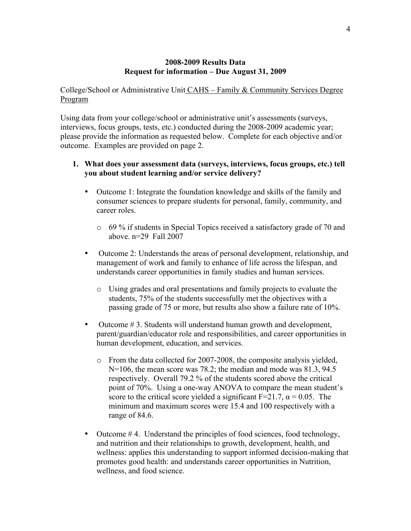College/School or Administrative Unit CAHS – Family & Community Services Degree Program

Using data from your college/school or administrative unit's assessments (surveys, interviews, focus groups, tests, etc.) conducted during the 2008-2009 academic year; please provide the information as requested below. Complete for each objective and/or outcome. Examples are provided on page 2.

- Outcome 1: Integrate the foundation knowledge and skills of the family and consumer sciences to prepare students for personal, family, community, and career roles.
	- o 69 % if students in Special Topics received a satisfactory grade of 70 and above. n=29 Fall 2007
- Outcome 2: Understands the areas of personal development, relationship, and management of work and family to enhance of life across the lifespan, and understands career opportunities in family studies and human services.
	- o Using grades and oral presentations and family projects to evaluate the students, 75% of the students successfully met the objectives with a passing grade of 75 or more, but results also show a failure rate of 10%.
- Outcome #3. Students will understand human growth and development, parent/guardian/educator role and responsibilities, and career opportunities in human development, education, and services.
	- o From the data collected for 2007-2008, the composite analysis yielded, N=106, the mean score was 78.2; the median and mode was 81.3, 94.5 respectively. Overall 79.2 % of the students scored above the critical point of 70%. Using a one-way ANOVA to compare the mean student's score to the critical score yielded a significant  $F=21.7$ ,  $\alpha = 0.05$ . The minimum and maximum scores were 15.4 and 100 respectively with a range of 84.6.
- Outcome #4. Understand the principles of food sciences, food technology, and nutrition and their relationships to growth, development, health, and wellness: applies this understanding to support informed decision-making that promotes good health: and understands career opportunities in Nutrition, wellness, and food science.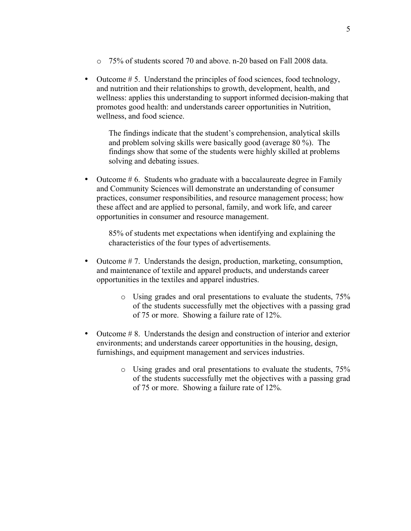- $\circ$  75% of students scored 70 and above. n-20 based on Fall 2008 data.
- Outcome # 5. Understand the principles of food sciences, food technology, and nutrition and their relationships to growth, development, health, and wellness: applies this understanding to support informed decision-making that promotes good health: and understands career opportunities in Nutrition, wellness, and food science.

The findings indicate that the student's comprehension, analytical skills and problem solving skills were basically good (average 80 %). The findings show that some of the students were highly skilled at problems solving and debating issues.

• Outcome #6. Students who graduate with a baccalaureate degree in Family and Community Sciences will demonstrate an understanding of consumer practices, consumer responsibilities, and resource management process; how these affect and are applied to personal, family, and work life, and career opportunities in consumer and resource management.

85% of students met expectations when identifying and explaining the characteristics of the four types of advertisements.

- Outcome #7. Understands the design, production, marketing, consumption, and maintenance of textile and apparel products, and understands career opportunities in the textiles and apparel industries.
	- o Using grades and oral presentations to evaluate the students, 75% of the students successfully met the objectives with a passing grad of 75 or more. Showing a failure rate of 12%.
- Outcome # 8. Understands the design and construction of interior and exterior environments; and understands career opportunities in the housing, design, furnishings, and equipment management and services industries.
	- o Using grades and oral presentations to evaluate the students, 75% of the students successfully met the objectives with a passing grad of 75 or more. Showing a failure rate of 12%.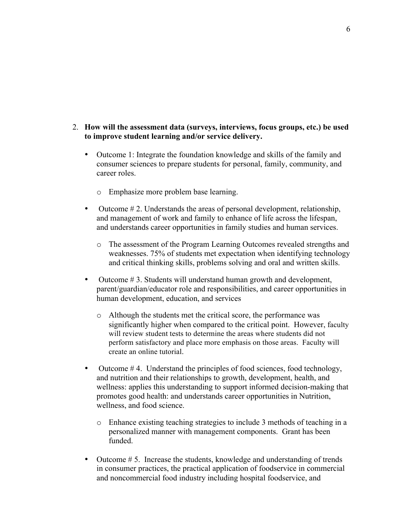- Outcome 1: Integrate the foundation knowledge and skills of the family and consumer sciences to prepare students for personal, family, community, and career roles.
	- o Emphasize more problem base learning.
- Outcome  $\# 2$ . Understands the areas of personal development, relationship, and management of work and family to enhance of life across the lifespan, and understands career opportunities in family studies and human services.
	- o The assessment of the Program Learning Outcomes revealed strengths and weaknesses. 75% of students met expectation when identifying technology and critical thinking skills, problems solving and oral and written skills.
- Outcome #3. Students will understand human growth and development, parent/guardian/educator role and responsibilities, and career opportunities in human development, education, and services
	- o Although the students met the critical score, the performance was significantly higher when compared to the critical point. However, faculty will review student tests to determine the areas where students did not perform satisfactory and place more emphasis on those areas. Faculty will create an online tutorial.
- Outcome #4. Understand the principles of food sciences, food technology, and nutrition and their relationships to growth, development, health, and wellness: applies this understanding to support informed decision-making that promotes good health: and understands career opportunities in Nutrition, wellness, and food science.
	- o Enhance existing teaching strategies to include 3 methods of teaching in a personalized manner with management components. Grant has been funded.
- Outcome # 5. Increase the students, knowledge and understanding of trends in consumer practices, the practical application of foodservice in commercial and noncommercial food industry including hospital foodservice, and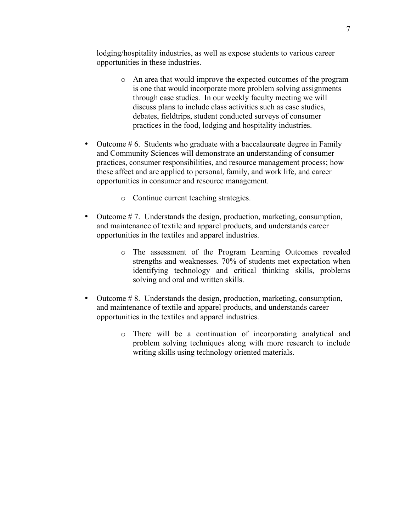lodging/hospitality industries, as well as expose students to various career opportunities in these industries.

- o An area that would improve the expected outcomes of the program is one that would incorporate more problem solving assignments through case studies. In our weekly faculty meeting we will discuss plans to include class activities such as case studies, debates, fieldtrips, student conducted surveys of consumer practices in the food, lodging and hospitality industries.
- Outcome #6. Students who graduate with a baccalaureate degree in Family and Community Sciences will demonstrate an understanding of consumer practices, consumer responsibilities, and resource management process; how these affect and are applied to personal, family, and work life, and career opportunities in consumer and resource management.
	- o Continue current teaching strategies.
- Outcome #7. Understands the design, production, marketing, consumption, and maintenance of textile and apparel products, and understands career opportunities in the textiles and apparel industries.
	- o The assessment of the Program Learning Outcomes revealed strengths and weaknesses. 70% of students met expectation when identifying technology and critical thinking skills, problems solving and oral and written skills.
- Outcome # 8. Understands the design, production, marketing, consumption, and maintenance of textile and apparel products, and understands career opportunities in the textiles and apparel industries.
	- o There will be a continuation of incorporating analytical and problem solving techniques along with more research to include writing skills using technology oriented materials.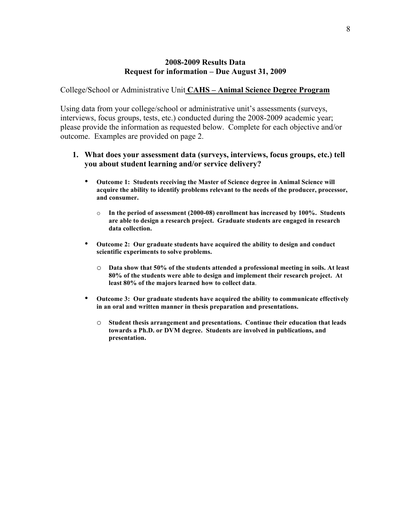College/School or Administrative Unit **CAHS – Animal Science Degree Program**

Using data from your college/school or administrative unit's assessments (surveys, interviews, focus groups, tests, etc.) conducted during the 2008-2009 academic year; please provide the information as requested below. Complete for each objective and/or outcome. Examples are provided on page 2.

- **Outcome 1: Students receiving the Master of Science degree in Animal Science will acquire the ability to identify problems relevant to the needs of the producer, processor, and consumer.**
	- o **In the period of assessment (2000-08) enrollment has increased by 100%. Students are able to design a research project. Graduate students are engaged in research data collection.**
- **Outcome 2: Our graduate students have acquired the ability to design and conduct scientific experiments to solve problems.**
	- o **Data show that 50% of the students attended a professional meeting in soils. At least 80% of the students were able to design and implement their research project. At least 80% of the majors learned how to collect data**.
- **Outcome 3: Our graduate students have acquired the ability to communicate effectively in an oral and written manner in thesis preparation and presentations.**
	- o **Student thesis arrangement and presentations. Continue their education that leads towards a Ph.D. or DVM degree. Students are involved in publications, and presentation.**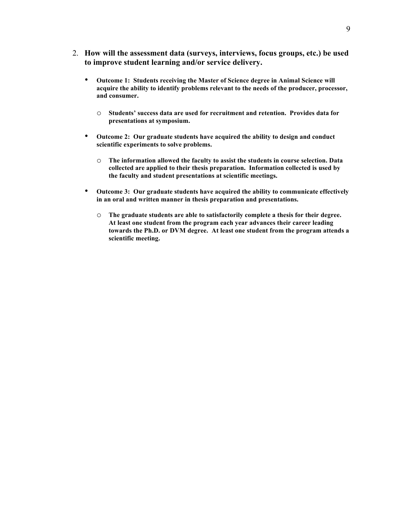- 2. **How will the assessment data (surveys, interviews, focus groups, etc.) be used to improve student learning and/or service delivery.**
	- **Outcome 1: Students receiving the Master of Science degree in Animal Science will acquire the ability to identify problems relevant to the needs of the producer, processor, and consumer.**
		- o **Students' success data are used for recruitment and retention. Provides data for presentations at symposium.**
	- **Outcome 2: Our graduate students have acquired the ability to design and conduct scientific experiments to solve problems.**
		- o **The information allowed the faculty to assist the students in course selection. Data collected are applied to their thesis preparation. Information collected is used by the faculty and student presentations at scientific meetings.**
	- **Outcome 3: Our graduate students have acquired the ability to communicate effectively in an oral and written manner in thesis preparation and presentations.**
		- o **The graduate students are able to satisfactorily complete a thesis for their degree. At least one student from the program each year advances their career leading towards the Ph.D. or DVM degree. At least one student from the program attends a scientific meeting.**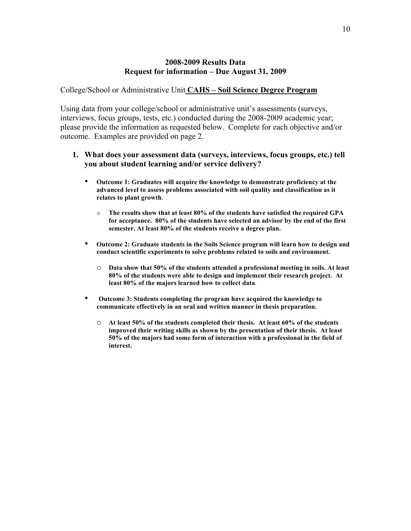College/School or Administrative Unit **CAHS – Soil Science Degree Program**

Using data from your college/school or administrative unit's assessments (surveys, interviews, focus groups, tests, etc.) conducted during the 2008-2009 academic year; please provide the information as requested below. Complete for each objective and/or outcome. Examples are provided on page 2.

- **Outcome 1: Graduates will acquire the knowledge to demonstrate proficiency at the advanced level to assess problems associated with soil quality and classification as it relates to plant growth**.
	- o **The results show that at least 80% of the students have satisfied the required GPA for acceptance. 80% of the students have selected an advisor by the end of the first semester. At least 80% of the students receive a degree plan.**
- **Outcome 2: Graduate students in the Soils Science program will learn how to design and conduct scientific experiments to solve problems related to soils and environment.**
	- o **Data show that 50% of the students attended a professional meeting in soils. At least 80% of the students were able to design and implement their research project. At least 80% of the majors learned how to collect data**.
- **Outcome 3: Students completing the program have acquired the knowledge to communicate effectively in an oral and written manner in thesis preparation.**
	- o **At least 50% of the students completed their thesis. At least 60% of the students improved their writing skills as shown by the presentation of their thesis. At least 50% of the majors had some form of interaction with a professional in the field of interest.**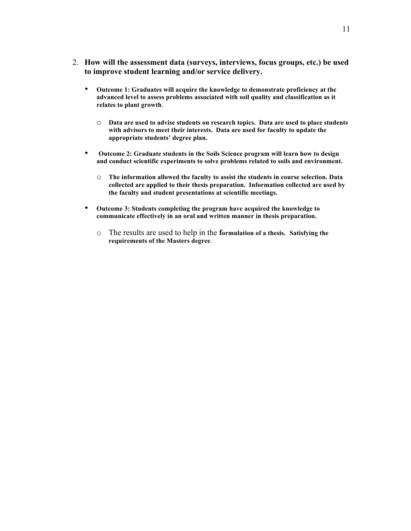- 2. **How will the assessment data (surveys, interviews, focus groups, etc.) be used to improve student learning and/or service delivery.**
	- **Outcome 1: Graduates will acquire the knowledge to demonstrate proficiency at the advanced level to assess problems associated with soil quality and classification as it relates to plant growth**.
		- o **Data are used to advise students on research topics. Data are used to place students with advisors to meet their interests. Data are used for faculty to update the appropriate students' degree plan.**
	- **Outcome 2: Graduate students in the Soils Science program will learn how to design and conduct scientific experiments to solve problems related to soils and environment.**
		- o **The information allowed the faculty to assist the students in course selection. Data collected are applied to their thesis preparation. Information collected are used by the faculty and student presentations at scientific meetings.**
	- **Outcome 3: Students completing the program have acquired the knowledge to communicate effectively in an oral and written manner in thesis preparation.**
		- o The results are used to help in the **formulation of a thesis. Satisfying the requirements of the Masters degree**.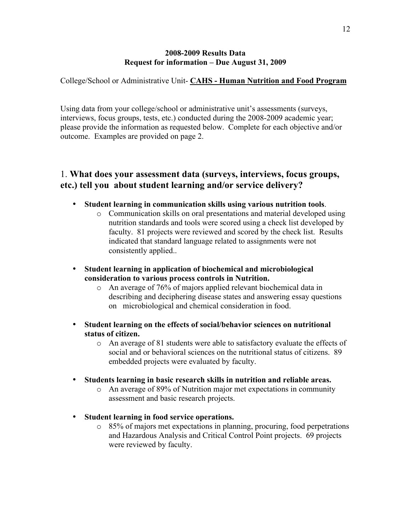College/School or Administrative Unit- **CAHS - Human Nutrition and Food Program**

Using data from your college/school or administrative unit's assessments (surveys, interviews, focus groups, tests, etc.) conducted during the 2008-2009 academic year; please provide the information as requested below. Complete for each objective and/or outcome. Examples are provided on page 2.

- **Student learning in communication skills using various nutrition tools**.
	- o Communication skills on oral presentations and material developed using nutrition standards and tools were scored using a check list developed by faculty. 81 projects were reviewed and scored by the check list. Results indicated that standard language related to assignments were not consistently applied..
- **Student learning in application of biochemical and microbiological consideration to various process controls in Nutrition.**
	- o An average of 76% of majors applied relevant biochemical data in describing and deciphering disease states and answering essay questions on microbiological and chemical consideration in food.
- **Student learning on the effects of social/behavior sciences on nutritional status of citizen.**
	- o An average of 81 students were able to satisfactory evaluate the effects of social and or behavioral sciences on the nutritional status of citizens. 89 embedded projects were evaluated by faculty.
- **Students learning in basic research skills in nutrition and reliable areas.**
	- o An average of 89% of Nutrition major met expectations in community assessment and basic research projects.
- **Student learning in food service operations.**
	- o 85% of majors met expectations in planning, procuring, food perpetrations and Hazardous Analysis and Critical Control Point projects. 69 projects were reviewed by faculty.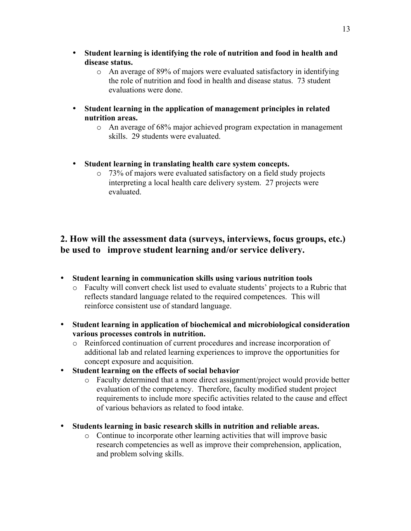- **Student learning is identifying the role of nutrition and food in health and disease status.**
	- o An average of 89% of majors were evaluated satisfactory in identifying the role of nutrition and food in health and disease status. 73 student evaluations were done.
- **Student learning in the application of management principles in related nutrition areas.**
	- o An average of 68% major achieved program expectation in management skills. 29 students were evaluated.
- **Student learning in translating health care system concepts.**
	- o 73% of majors were evaluated satisfactory on a field study projects interpreting a local health care delivery system. 27 projects were evaluated.

- **Student learning in communication skills using various nutrition tools**
	- o Faculty will convert check list used to evaluate students' projects to a Rubric that reflects standard language related to the required competences. This will reinforce consistent use of standard language.
- **Student learning in application of biochemical and microbiological consideration various processes controls in nutrition.**
	- o Reinforced continuation of current procedures and increase incorporation of additional lab and related learning experiences to improve the opportunities for concept exposure and acquisition.
- **Student learning on the effects of social behavior**
	- o Faculty determined that a more direct assignment/project would provide better evaluation of the competency. Therefore, faculty modified student project requirements to include more specific activities related to the cause and effect of various behaviors as related to food intake.
- **Students learning in basic research skills in nutrition and reliable areas.**
	- o Continue to incorporate other learning activities that will improve basic research competencies as well as improve their comprehension, application, and problem solving skills.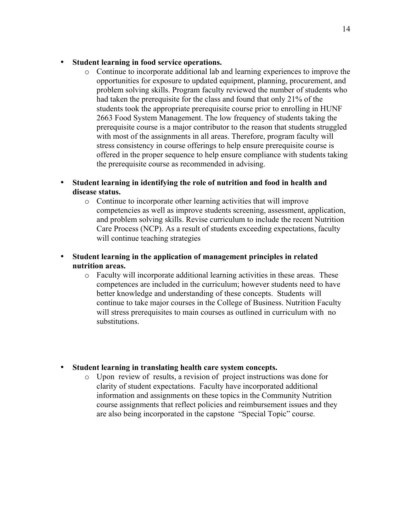### • **Student learning in food service operations.**

o Continue to incorporate additional lab and learning experiences to improve the opportunities for exposure to updated equipment, planning, procurement, and problem solving skills. Program faculty reviewed the number of students who had taken the prerequisite for the class and found that only 21% of the students took the appropriate prerequisite course prior to enrolling in HUNF 2663 Food System Management. The low frequency of students taking the prerequisite course is a major contributor to the reason that students struggled with most of the assignments in all areas. Therefore, program faculty will stress consistency in course offerings to help ensure prerequisite course is offered in the proper sequence to help ensure compliance with students taking the prerequisite course as recommended in advising.

### • **Student learning in identifying the role of nutrition and food in health and disease status.**

- o Continue to incorporate other learning activities that will improve competencies as well as improve students screening, assessment, application, and problem solving skills. Revise curriculum to include the recent Nutrition Care Process (NCP). As a result of students exceeding expectations, faculty will continue teaching strategies
- **Student learning in the application of management principles in related nutrition areas.**
	- o Faculty will incorporate additional learning activities in these areas. These competences are included in the curriculum; however students need to have better knowledge and understanding of these concepts. Students will continue to take major courses in the College of Business. Nutrition Faculty will stress prerequisites to main courses as outlined in curriculum with no substitutions.

### • **Student learning in translating health care system concepts.**

o Upon review of results, a revision of project instructions was done for clarity of student expectations. Faculty have incorporated additional information and assignments on these topics in the Community Nutrition course assignments that reflect policies and reimbursement issues and they are also being incorporated in the capstone "Special Topic" course.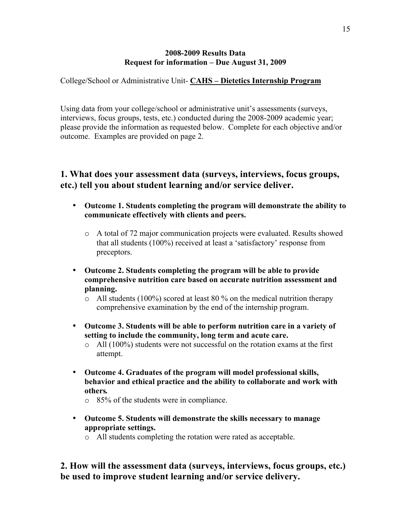College/School or Administrative Unit- **CAHS – Dietetics Internship Program**

Using data from your college/school or administrative unit's assessments (surveys, interviews, focus groups, tests, etc.) conducted during the 2008-2009 academic year; please provide the information as requested below. Complete for each objective and/or outcome. Examples are provided on page 2.

## **1. What does your assessment data (surveys, interviews, focus groups, etc.) tell you about student learning and/or service deliver.**

- **Outcome 1. Students completing the program will demonstrate the ability to communicate effectively with clients and peers.**
	- o A total of 72 major communication projects were evaluated. Results showed that all students (100%) received at least a 'satisfactory' response from preceptors.
- **Outcome 2. Students completing the program will be able to provide comprehensive nutrition care based on accurate nutrition assessment and planning.**
	- o All students (100%) scored at least 80 % on the medical nutrition therapy comprehensive examination by the end of the internship program.
- **Outcome 3. Students will be able to perform nutrition care in a variety of setting to include the community, long term and acute care.**
	- o All (100%) students were not successful on the rotation exams at the first attempt.
- **Outcome 4. Graduates of the program will model professional skills, behavior and ethical practice and the ability to collaborate and work with others***.*
	- o 85% of the students were in compliance.
- **Outcome 5. Students will demonstrate the skills necessary to manage appropriate settings.**
	- o All students completing the rotation were rated as acceptable.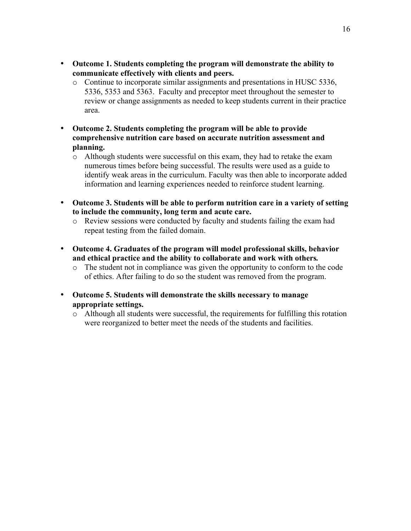- **Outcome 1. Students completing the program will demonstrate the ability to communicate effectively with clients and peers.**
	- o Continue to incorporate similar assignments and presentations in HUSC 5336, 5336, 5353 and 5363. Faculty and preceptor meet throughout the semester to review or change assignments as needed to keep students current in their practice area.
- **Outcome 2. Students completing the program will be able to provide comprehensive nutrition care based on accurate nutrition assessment and planning.**
	- o Although students were successful on this exam, they had to retake the exam numerous times before being successful. The results were used as a guide to identify weak areas in the curriculum. Faculty was then able to incorporate added information and learning experiences needed to reinforce student learning.
- **Outcome 3. Students will be able to perform nutrition care in a variety of setting to include the community, long term and acute care.**
	- o Review sessions were conducted by faculty and students failing the exam had repeat testing from the failed domain.
- **Outcome 4. Graduates of the program will model professional skills, behavior and ethical practice and the ability to collaborate and work with others***.*
	- o The student not in compliance was given the opportunity to conform to the code of ethics. After failing to do so the student was removed from the program.
- **Outcome 5. Students will demonstrate the skills necessary to manage appropriate settings.**
	- o Although all students were successful, the requirements for fulfilling this rotation were reorganized to better meet the needs of the students and facilities.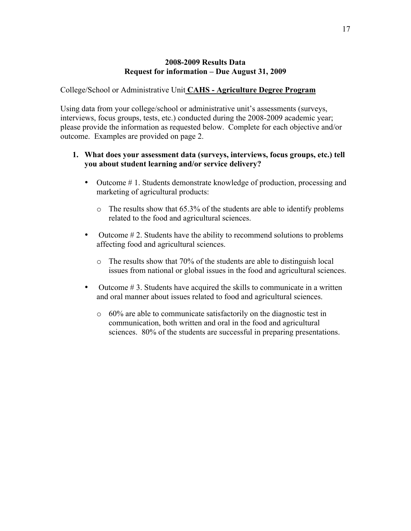### College/School or Administrative Unit **CAHS - Agriculture Degree Program**

Using data from your college/school or administrative unit's assessments (surveys, interviews, focus groups, tests, etc.) conducted during the 2008-2009 academic year; please provide the information as requested below. Complete for each objective and/or outcome. Examples are provided on page 2.

- Outcome #1. Students demonstrate knowledge of production, processing and marketing of agricultural products:
	- o The results show that 65.3% of the students are able to identify problems related to the food and agricultural sciences.
- Outcome  $\# 2$ . Students have the ability to recommend solutions to problems affecting food and agricultural sciences.
	- o The results show that 70% of the students are able to distinguish local issues from national or global issues in the food and agricultural sciences.
- Outcome #3. Students have acquired the skills to communicate in a written and oral manner about issues related to food and agricultural sciences.
	- o 60% are able to communicate satisfactorily on the diagnostic test in communication, both written and oral in the food and agricultural sciences. 80% of the students are successful in preparing presentations.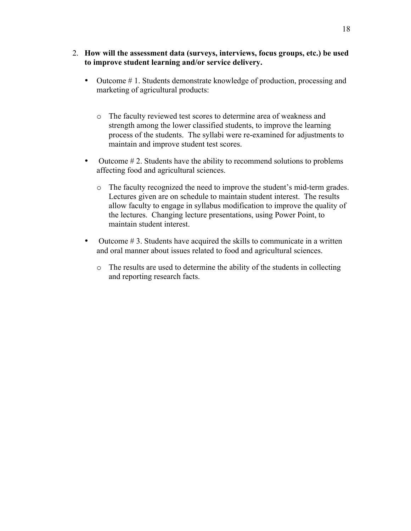- 2. **How will the assessment data (surveys, interviews, focus groups, etc.) be used to improve student learning and/or service delivery.**
	- Outcome #1. Students demonstrate knowledge of production, processing and marketing of agricultural products:
		- o The faculty reviewed test scores to determine area of weakness and strength among the lower classified students, to improve the learning process of the students. The syllabi were re-examined for adjustments to maintain and improve student test scores.
	- Outcome #2. Students have the ability to recommend solutions to problems affecting food and agricultural sciences.
		- o The faculty recognized the need to improve the student's mid-term grades. Lectures given are on schedule to maintain student interest. The results allow faculty to engage in syllabus modification to improve the quality of the lectures. Changing lecture presentations, using Power Point, to maintain student interest.
	- Outcome #3. Students have acquired the skills to communicate in a written and oral manner about issues related to food and agricultural sciences.
		- o The results are used to determine the ability of the students in collecting and reporting research facts.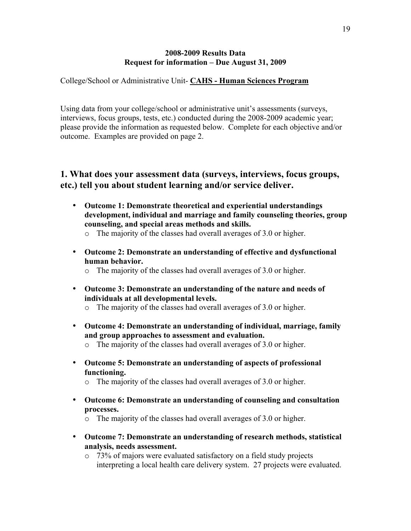College/School or Administrative Unit- **CAHS - Human Sciences Program**

Using data from your college/school or administrative unit's assessments (surveys, interviews, focus groups, tests, etc.) conducted during the 2008-2009 academic year; please provide the information as requested below. Complete for each objective and/or outcome. Examples are provided on page 2.

- **Outcome 1: Demonstrate theoretical and experiential understandings development, individual and marriage and family counseling theories, group counseling, and special areas methods and skills.**
	- o The majority of the classes had overall averages of 3.0 or higher.
- **Outcome 2: Demonstrate an understanding of effective and dysfunctional human behavior.**
	- o The majority of the classes had overall averages of 3.0 or higher.
- **Outcome 3: Demonstrate an understanding of the nature and needs of individuals at all developmental levels.**
	- o The majority of the classes had overall averages of 3.0 or higher.
- **Outcome 4: Demonstrate an understanding of individual, marriage, family and group approaches to assessment and evaluation.**
	- o The majority of the classes had overall averages of 3.0 or higher.
- **Outcome 5: Demonstrate an understanding of aspects of professional functioning.**
	- o The majority of the classes had overall averages of 3.0 or higher.
- **Outcome 6: Demonstrate an understanding of counseling and consultation processes.**
	- o The majority of the classes had overall averages of 3.0 or higher.
- **Outcome 7: Demonstrate an understanding of research methods, statistical analysis, needs assessment.**
	- o 73% of majors were evaluated satisfactory on a field study projects interpreting a local health care delivery system. 27 projects were evaluated.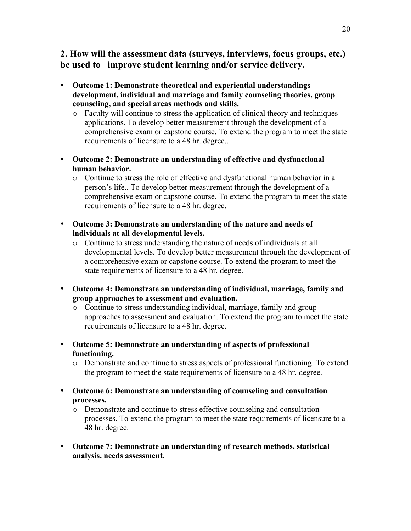- **Outcome 1: Demonstrate theoretical and experiential understandings development, individual and marriage and family counseling theories, group counseling, and special areas methods and skills.**
	- o Faculty will continue to stress the application of clinical theory and techniques applications. To develop better measurement through the development of a comprehensive exam or capstone course. To extend the program to meet the state requirements of licensure to a 48 hr. degree..
- **Outcome 2: Demonstrate an understanding of effective and dysfunctional human behavior.**
	- o Continue to stress the role of effective and dysfunctional human behavior in a person's life.. To develop better measurement through the development of a comprehensive exam or capstone course. To extend the program to meet the state requirements of licensure to a 48 hr. degree.
- **Outcome 3: Demonstrate an understanding of the nature and needs of individuals at all developmental levels.**
	- o Continue to stress understanding the nature of needs of individuals at all developmental levels. To develop better measurement through the development of a comprehensive exam or capstone course. To extend the program to meet the state requirements of licensure to a 48 hr. degree.
- **Outcome 4: Demonstrate an understanding of individual, marriage, family and group approaches to assessment and evaluation.**
	- o Continue to stress understanding individual, marriage, family and group approaches to assessment and evaluation. To extend the program to meet the state requirements of licensure to a 48 hr. degree.
- **Outcome 5: Demonstrate an understanding of aspects of professional functioning.**
	- o Demonstrate and continue to stress aspects of professional functioning. To extend the program to meet the state requirements of licensure to a 48 hr. degree.
- **Outcome 6: Demonstrate an understanding of counseling and consultation processes.**
	- o Demonstrate and continue to stress effective counseling and consultation processes. To extend the program to meet the state requirements of licensure to a 48 hr. degree.
- **Outcome 7: Demonstrate an understanding of research methods, statistical analysis, needs assessment.**